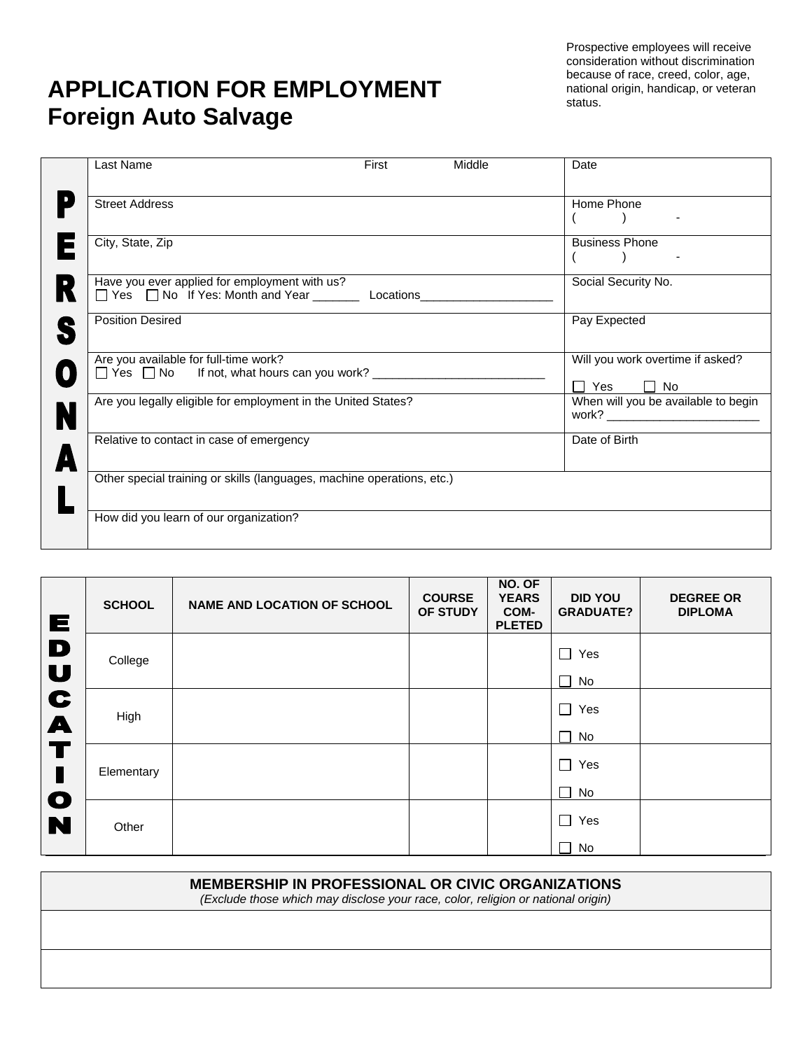## **APPLICATION FOR EMPLOYMENT Foreign Auto Salvage**

Prospective employees will receive consideration without discrimination because of race, creed, color, age, national origin, handicap, or veteran status.

| Last Name                                                                                                           | First | Middle        | Date                                                   |
|---------------------------------------------------------------------------------------------------------------------|-------|---------------|--------------------------------------------------------|
| <b>Street Address</b>                                                                                               |       |               | Home Phone                                             |
| City, State, Zip                                                                                                    |       |               | <b>Business Phone</b>                                  |
| Have you ever applied for employment with us?<br>□ Yes □ No If Yes: Month and Year ___________ Locations___________ |       |               | Social Security No.                                    |
| <b>Position Desired</b>                                                                                             |       |               | Pay Expected                                           |
| Are you available for full-time work?<br>□ Yes □ No If not, what hours can you work? __________________             |       |               | Will you work overtime if asked?<br>Π Yes<br>$\Box$ No |
| Are you legally eligible for employment in the United States?                                                       |       |               | When will you be available to begin                    |
| Relative to contact in case of emergency                                                                            |       | Date of Birth |                                                        |
| Other special training or skills (languages, machine operations, etc.)                                              |       |               |                                                        |
| How did you learn of our organization?                                                                              |       |               |                                                        |

| Е                     | <b>SCHOOL</b> | <b>NAME AND LOCATION OF SCHOOL</b> | <b>COURSE</b><br>OF STUDY | NO. OF<br><b>YEARS</b><br>COM-<br><b>PLETED</b> | <b>DID YOU</b><br><b>GRADUATE?</b> | <b>DEGREE OR</b><br><b>DIPLOMA</b> |
|-----------------------|---------------|------------------------------------|---------------------------|-------------------------------------------------|------------------------------------|------------------------------------|
| D<br>U                | College       |                                    |                           |                                                 | $\Box$<br>Yes<br>П<br>No           |                                    |
| C<br>$\blacktriangle$ | High          |                                    |                           |                                                 | $\Box$<br>Yes<br>$\Box$<br>No      |                                    |
| T                     | Elementary    |                                    |                           |                                                 | $\Box$<br>Yes<br>$\Box$<br>No      |                                    |
| $\mathbf O$<br>N      | Other         |                                    |                           |                                                 | П<br>Yes<br>$\Box$<br>No           |                                    |

| <b>MEMBERSHIP IN PROFESSIONAL OR CIVIC ORGANIZATIONS</b><br>(Exclude those which may disclose your race, color, religion or national origin) |  |
|----------------------------------------------------------------------------------------------------------------------------------------------|--|
|                                                                                                                                              |  |
|                                                                                                                                              |  |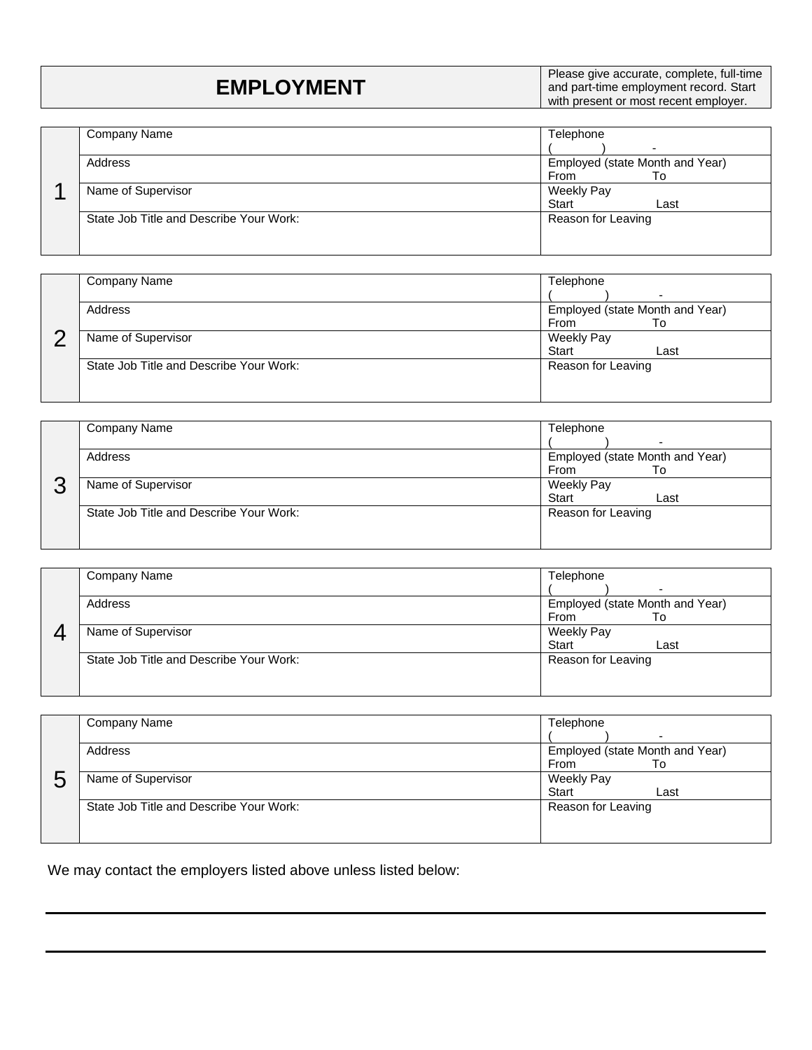| <b>EMPLOYMENT</b> | Please give accurate, complete, full-time<br>and part-time employment record. Start<br>with present or most recent employer. |
|-------------------|------------------------------------------------------------------------------------------------------------------------------|
|                   |                                                                                                                              |

|  | Company Name                            | Telephone                       |      |  |  |
|--|-----------------------------------------|---------------------------------|------|--|--|
|  |                                         |                                 |      |  |  |
|  | Address                                 | Employed (state Month and Year) |      |  |  |
|  |                                         | From                            | Tο   |  |  |
|  | Name of Supervisor                      | Weekly Pay                      |      |  |  |
|  |                                         | <b>Start</b>                    | Last |  |  |
|  | State Job Title and Describe Your Work: | Reason for Leaving              |      |  |  |
|  |                                         |                                 |      |  |  |
|  |                                         |                                 |      |  |  |

|  | Company Name                            | Telephone                       |  |  |  |
|--|-----------------------------------------|---------------------------------|--|--|--|
|  |                                         | -                               |  |  |  |
|  | Address                                 | Employed (state Month and Year) |  |  |  |
|  |                                         | From<br>To                      |  |  |  |
|  | Name of Supervisor                      | <b>Weekly Pay</b>               |  |  |  |
|  |                                         | Start<br>Last                   |  |  |  |
|  | State Job Title and Describe Your Work: | Reason for Leaving              |  |  |  |
|  |                                         |                                 |  |  |  |
|  |                                         |                                 |  |  |  |

| ⌒ | Company Name                            | Telephone                       |  |  |  |
|---|-----------------------------------------|---------------------------------|--|--|--|
|   |                                         | -                               |  |  |  |
|   | Address                                 | Employed (state Month and Year) |  |  |  |
|   |                                         | From<br>Т٥                      |  |  |  |
|   | Name of Supervisor                      | <b>Weekly Pay</b>               |  |  |  |
|   |                                         | <b>Start</b><br>Last            |  |  |  |
|   | State Job Title and Describe Your Work: | Reason for Leaving              |  |  |  |
|   |                                         |                                 |  |  |  |
|   |                                         |                                 |  |  |  |

|  | Company Name                            | Telephone                       |  |  |  |
|--|-----------------------------------------|---------------------------------|--|--|--|
|  |                                         | -                               |  |  |  |
|  | Address                                 | Employed (state Month and Year) |  |  |  |
|  |                                         | From<br>To                      |  |  |  |
|  | Name of Supervisor                      | Weekly Pay                      |  |  |  |
|  |                                         | Start<br>Last                   |  |  |  |
|  | State Job Title and Describe Your Work: | Reason for Leaving              |  |  |  |
|  |                                         |                                 |  |  |  |
|  |                                         |                                 |  |  |  |

| ς | Company Name                            | Telephone                                          |  |  |  |
|---|-----------------------------------------|----------------------------------------------------|--|--|--|
|   | Address                                 | -<br>Employed (state Month and Year)<br>From<br>To |  |  |  |
|   | Name of Supervisor                      | <b>Weekly Pay</b><br>Start<br>Last                 |  |  |  |
|   | State Job Title and Describe Your Work: | Reason for Leaving                                 |  |  |  |

We may contact the employers listed above unless listed below: